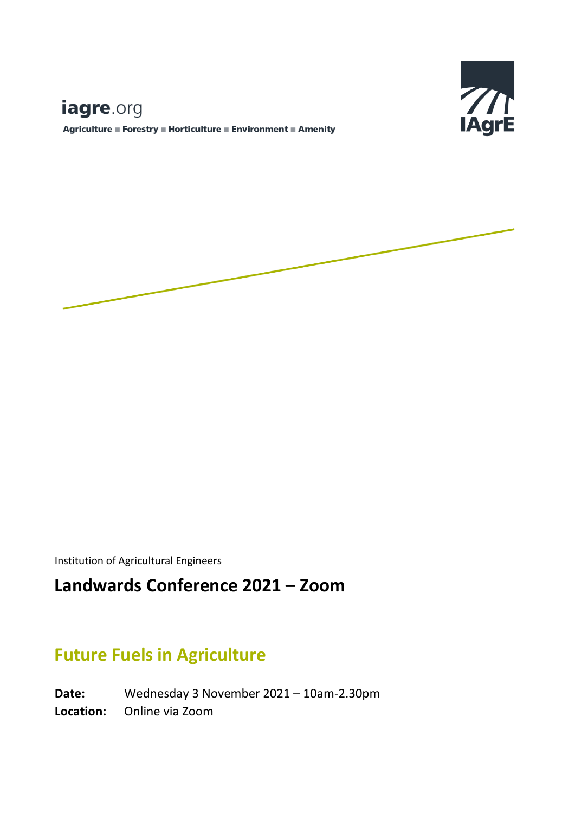# $\mathbb{Z}$ **IAgrE**

## iagre.org

Agriculture ■ Forestry ■ Horticulture ■ Environment ■ Amenity



Institution of Agricultural Engineers

## **Landwards Conference 2021 – Zoom**

### **Future Fuels in Agriculture**

**Date:** Wednesday 3 November 2021 – 10am-2.30pm **Location:** Online via Zoom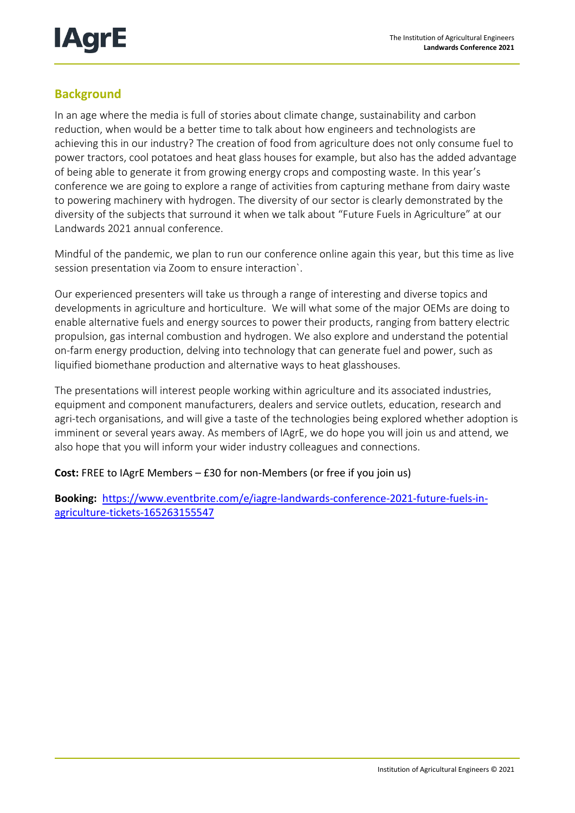

#### **Background**

In an age where the media is full of stories about climate change, sustainability and carbon reduction, when would be a better time to talk about how engineers and technologists are achieving this in our industry? The creation of food from agriculture does not only consume fuel to power tractors, cool potatoes and heat glass houses for example, but also has the added advantage of being able to generate it from growing energy crops and composting waste. In this year's conference we are going to explore a range of activities from capturing methane from dairy waste to powering machinery with hydrogen. The diversity of our sector is clearly demonstrated by the diversity of the subjects that surround it when we talk about "Future Fuels in Agriculture" at our Landwards 2021 annual conference.

Mindful of the pandemic, we plan to run our conference online again this year, but this time as live session presentation via Zoom to ensure interaction`.

Our experienced presenters will take us through a range of interesting and diverse topics and developments in agriculture and horticulture. We will what some of the major OEMs are doing to enable alternative fuels and energy sources to power their products, ranging from battery electric propulsion, gas internal combustion and hydrogen. We also explore and understand the potential on-farm energy production, delving into technology that can generate fuel and power, such as liquified biomethane production and alternative ways to heat glasshouses.

The presentations will interest people working within agriculture and its associated industries, equipment and component manufacturers, dealers and service outlets, education, research and agri-tech organisations, and will give a taste of the technologies being explored whether adoption is imminent or several years away. As members of IAgrE, we do hope you will join us and attend, we also hope that you will inform your wider industry colleagues and connections.

#### **Cost:** FREE to IAgrE Members – £30 for non-Members (or free if you join us)

**Booking:** [https://www.eventbrite.com/e/iagre-landwards-conference-2021-future-fuels-in](https://www.eventbrite.com/e/iagre-landwards-conference-2021-future-fuels-in-agriculture-tickets-165263155547)[agriculture-tickets-165263155547](https://www.eventbrite.com/e/iagre-landwards-conference-2021-future-fuels-in-agriculture-tickets-165263155547)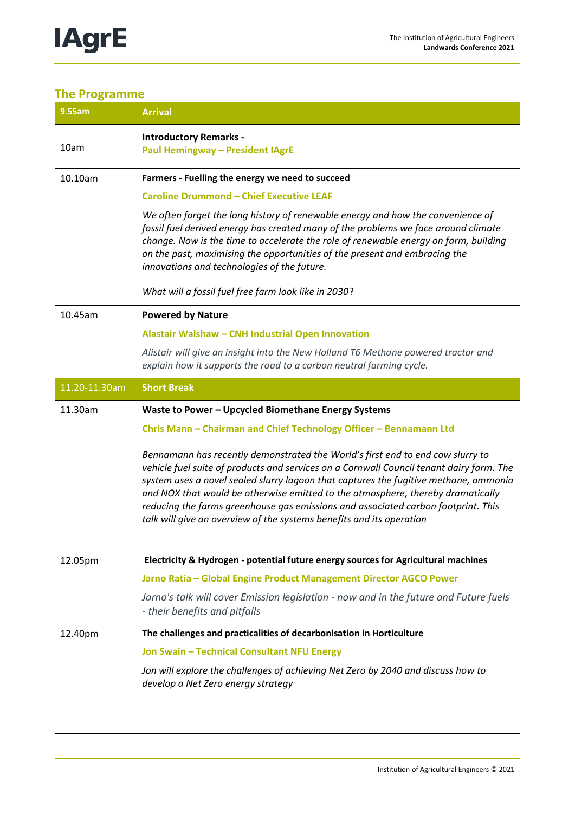

### **The Programme**

| 9.55am        | <b>Arrival</b>                                                                                                                                                                                                                                                                                                                                                                                                                                                                                                     |
|---------------|--------------------------------------------------------------------------------------------------------------------------------------------------------------------------------------------------------------------------------------------------------------------------------------------------------------------------------------------------------------------------------------------------------------------------------------------------------------------------------------------------------------------|
| 10am          | <b>Introductory Remarks -</b><br><b>Paul Hemingway - President IAgrE</b>                                                                                                                                                                                                                                                                                                                                                                                                                                           |
| 10.10am       | Farmers - Fuelling the energy we need to succeed                                                                                                                                                                                                                                                                                                                                                                                                                                                                   |
|               | <b>Caroline Drummond - Chief Executive LEAF</b>                                                                                                                                                                                                                                                                                                                                                                                                                                                                    |
|               | We often forget the long history of renewable energy and how the convenience of<br>fossil fuel derived energy has created many of the problems we face around climate<br>change. Now is the time to accelerate the role of renewable energy on farm, building<br>on the past, maximising the opportunities of the present and embracing the<br>innovations and technologies of the future.                                                                                                                         |
|               | What will a fossil fuel free farm look like in 2030?                                                                                                                                                                                                                                                                                                                                                                                                                                                               |
| 10.45am       | <b>Powered by Nature</b>                                                                                                                                                                                                                                                                                                                                                                                                                                                                                           |
|               | Alastair Walshaw - CNH Industrial Open Innovation                                                                                                                                                                                                                                                                                                                                                                                                                                                                  |
|               | Alistair will give an insight into the New Holland T6 Methane powered tractor and<br>explain how it supports the road to a carbon neutral farming cycle.                                                                                                                                                                                                                                                                                                                                                           |
| 11.20-11.30am | <b>Short Break</b>                                                                                                                                                                                                                                                                                                                                                                                                                                                                                                 |
| 11.30am       | Waste to Power - Upcycled Biomethane Energy Systems                                                                                                                                                                                                                                                                                                                                                                                                                                                                |
|               | Chris Mann - Chairman and Chief Technology Officer - Bennamann Ltd                                                                                                                                                                                                                                                                                                                                                                                                                                                 |
|               | Bennamann has recently demonstrated the World's first end to end cow slurry to<br>vehicle fuel suite of products and services on a Cornwall Council tenant dairy farm. The<br>system uses a novel sealed slurry lagoon that captures the fugitive methane, ammonia<br>and NOX that would be otherwise emitted to the atmosphere, thereby dramatically<br>reducing the farms greenhouse gas emissions and associated carbon footprint. This<br>talk will give an overview of the systems benefits and its operation |
| 12.05pm       | Electricity & Hydrogen - potential future energy sources for Agricultural machines                                                                                                                                                                                                                                                                                                                                                                                                                                 |
|               | Jarno Ratia - Global Engine Product Management Director AGCO Power                                                                                                                                                                                                                                                                                                                                                                                                                                                 |
|               | Jarno's talk will cover Emission legislation - now and in the future and Future fuels<br>- their benefits and pitfalls                                                                                                                                                                                                                                                                                                                                                                                             |
| 12.40pm       | The challenges and practicalities of decarbonisation in Horticulture                                                                                                                                                                                                                                                                                                                                                                                                                                               |
|               | Jon Swain - Technical Consultant NFU Energy                                                                                                                                                                                                                                                                                                                                                                                                                                                                        |
|               | Jon will explore the challenges of achieving Net Zero by 2040 and discuss how to<br>develop a Net Zero energy strategy                                                                                                                                                                                                                                                                                                                                                                                             |
|               |                                                                                                                                                                                                                                                                                                                                                                                                                                                                                                                    |